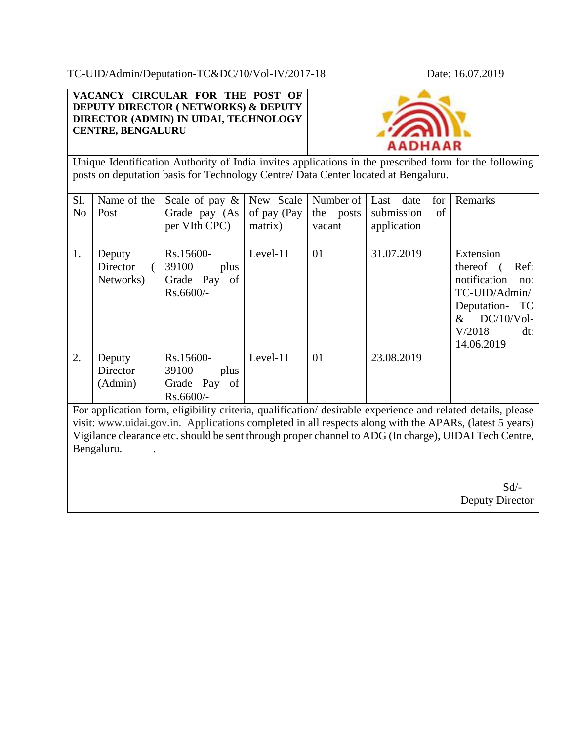TC-UID/Admin/Deputation-TC&DC/10/Vol-IV/2017-18 Date: 16.07.2019

**VACANCY CIRCULAR FOR THE POST OF DEPUTY DIRECTOR ( NETWORKS) & DEPUTY DIRECTOR (ADMIN) IN UIDAI, TECHNOLOGY CENTRE, BENGALURU**



Unique Identification Authority of India invites applications in the prescribed form for the following posts on deputation basis for Technology Centre/ Data Center located at Bengaluru.

| Sl.<br>N <sub>0</sub> | Name of the<br>Post             | Scale of pay $\&$<br>Grade pay (As<br>per VIth CPC)          | New Scale<br>of pay (Pay<br>matrix) | Number of<br>the posts<br>vacant | Last date<br>for<br>submission<br>of<br>application | Remarks                                                                                                                                             |
|-----------------------|---------------------------------|--------------------------------------------------------------|-------------------------------------|----------------------------------|-----------------------------------------------------|-----------------------------------------------------------------------------------------------------------------------------------------------------|
| 1.                    | Deputy<br>Director<br>Networks) | Rs.15600-<br>39100<br>plus<br>Grade Pay<br>of<br>$Rs.6600/-$ | Level-11                            | 01                               | 31.07.2019                                          | Extension<br>thereof (<br>Ref:<br>notification<br>no:<br>TC-UID/Admin/<br>Deputation- TC<br>$DC/10/V$ ol-<br>$\&$<br>V/2018<br>$dt$ :<br>14.06.2019 |
| 2.                    | Deputy<br>Director<br>(Admin)   | Rs.15600-<br>39100<br>plus<br>Grade Pay<br>of<br>Rs.6600/-   | Level-11                            | 01                               | 23.08.2019                                          |                                                                                                                                                     |

For application form, eligibility criteria, qualification/ desirable experience and related details, please visit: www.uidai.gov.in. Applications completed in all respects along with the APARs, (latest 5 years) Vigilance clearance etc. should be sent through proper channel to ADG (In charge), UIDAI Tech Centre, Bengaluru.

 Sd/- Deputy Director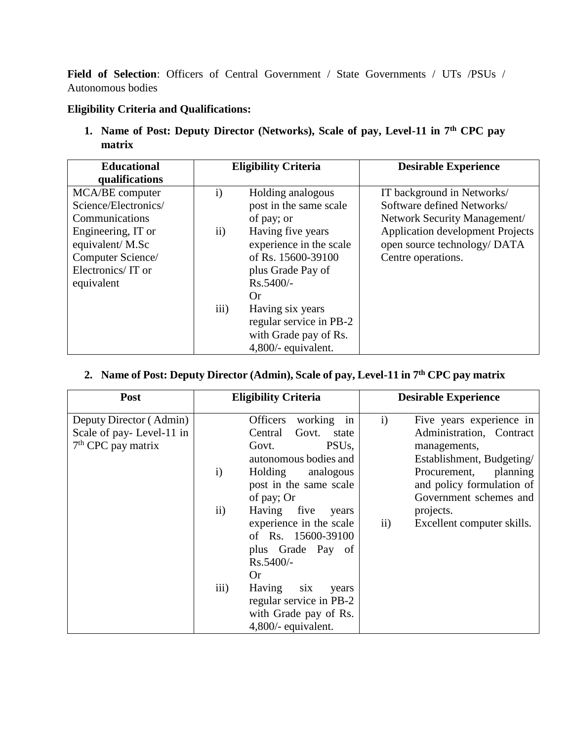**Field of Selection**: Officers of Central Government / State Governments / UTs /PSUs / Autonomous bodies

## **Eligibility Criteria and Qualifications:**

**1. Name of Post: Deputy Director (Networks), Scale of pay, Level-11 in 7th CPC pay matrix**

| <b>Educational</b><br>qualifications                                                                                                                       | <b>Eligibility Criteria</b>       |                                                                                                                                                                                                | <b>Desirable Experience</b>                                                                                                                                                               |  |
|------------------------------------------------------------------------------------------------------------------------------------------------------------|-----------------------------------|------------------------------------------------------------------------------------------------------------------------------------------------------------------------------------------------|-------------------------------------------------------------------------------------------------------------------------------------------------------------------------------------------|--|
| MCA/BE computer<br>Science/Electronics/<br>Communications<br>Engineering, IT or<br>equivalent/M.Sc<br>Computer Science/<br>Electronics/IT or<br>equivalent | $\mathbf{i}$<br>$\rm ii)$<br>iii) | Holding analogous<br>post in the same scale<br>of pay; or<br>Having five years<br>experience in the scale<br>of Rs. 15600-39100<br>plus Grade Pay of<br>$Rs.5400/-$<br>Or.<br>Having six years | IT background in Networks/<br>Software defined Networks/<br>Network Security Management/<br><b>Application development Projects</b><br>open source technology/ DATA<br>Centre operations. |  |
|                                                                                                                                                            |                                   | regular service in PB-2<br>with Grade pay of Rs.<br>4,800/- equivalent.                                                                                                                        |                                                                                                                                                                                           |  |

# **2. Name of Post: Deputy Director (Admin), Scale of pay, Level-11 in 7th CPC pay matrix**

| Post                                                                        | <b>Eligibility Criteria</b>                                                                                                                                                                                                                                                                                                                                                                                                                         | <b>Desirable Experience</b>                                                                                                                                                                                                                                   |  |
|-----------------------------------------------------------------------------|-----------------------------------------------------------------------------------------------------------------------------------------------------------------------------------------------------------------------------------------------------------------------------------------------------------------------------------------------------------------------------------------------------------------------------------------------------|---------------------------------------------------------------------------------------------------------------------------------------------------------------------------------------------------------------------------------------------------------------|--|
| Deputy Director (Admin)<br>Scale of pay-Level-11 in<br>$7th$ CPC pay matrix | <b>Officers</b><br>working in<br>Central<br>Govt. state<br>PSU <sub>s</sub><br>Govt.<br>autonomous bodies and<br>Holding<br>analogous<br>$\mathbf{i}$<br>post in the same scale<br>of pay; Or<br>$\mathbf{ii}$<br>Having five<br>years<br>experience in the scale<br>of Rs. 15600-39100<br>plus Grade Pay of<br>Rs.5400/-<br><b>Or</b><br>iii)<br>Having<br>six<br>years<br>regular service in PB-2<br>with Grade pay of Rs.<br>4,800/- equivalent. | $\mathbf{i}$<br>Five years experience in<br>Administration, Contract<br>managements,<br>Establishment, Budgeting/<br>Procurement, planning<br>and policy formulation of<br>Government schemes and<br>projects.<br>$\mathbf{ii}$<br>Excellent computer skills. |  |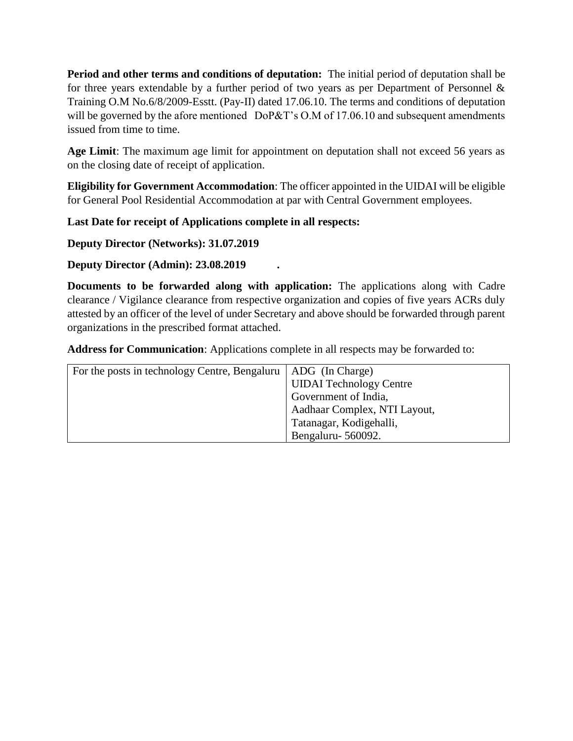**Period and other terms and conditions of deputation:** The initial period of deputation shall be for three years extendable by a further period of two years as per Department of Personnel  $\&$ Training O.M No.6/8/2009-Esstt. (Pay-II) dated 17.06.10. The terms and conditions of deputation will be governed by the afore mentioned DoP&T's O.M of 17.06.10 and subsequent amendments issued from time to time.

**Age Limit**: The maximum age limit for appointment on deputation shall not exceed 56 years as on the closing date of receipt of application.

**Eligibility for Government Accommodation**: The officer appointed in the UIDAI will be eligible for General Pool Residential Accommodation at par with Central Government employees.

**Last Date for receipt of Applications complete in all respects:**

**Deputy Director (Networks): 31.07.2019**

**Deputy Director (Admin): 23.08.2019 .**

**Documents to be forwarded along with application:** The applications along with Cadre clearance / Vigilance clearance from respective organization and copies of five years ACRs duly attested by an officer of the level of under Secretary and above should be forwarded through parent organizations in the prescribed format attached.

**Address for Communication**: Applications complete in all respects may be forwarded to:

| For the posts in technology Centre, Bengaluru   ADG (In Charge) |                                |
|-----------------------------------------------------------------|--------------------------------|
|                                                                 | <b>UIDAI</b> Technology Centre |
|                                                                 | Government of India,           |
|                                                                 | Aadhaar Complex, NTI Layout,   |
|                                                                 | Tatanagar, Kodigehalli,        |
|                                                                 | Bengaluru - 560092.            |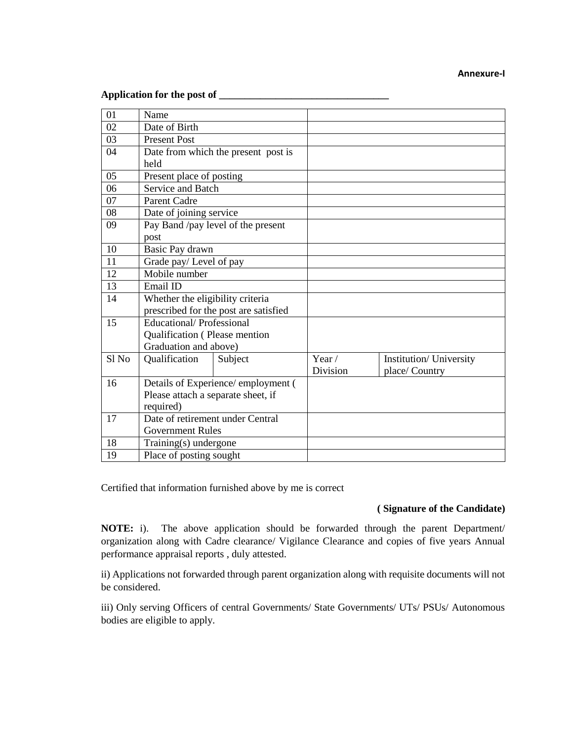#### **Annexure-I**

## **Application for the post of \_\_\_\_\_\_\_\_\_\_\_\_\_\_\_\_\_\_\_\_\_\_\_\_\_\_\_\_\_\_\_\_\_**

| 01               | Name                                                                      |                                     |               |                         |
|------------------|---------------------------------------------------------------------------|-------------------------------------|---------------|-------------------------|
| 02               | Date of Birth                                                             |                                     |               |                         |
| 03               | <b>Present Post</b>                                                       |                                     |               |                         |
| 04               |                                                                           | Date from which the present post is |               |                         |
|                  | held                                                                      |                                     |               |                         |
| 05               | Present place of posting                                                  |                                     |               |                         |
| 06               | Service and Batch                                                         |                                     |               |                         |
| 07               | <b>Parent Cadre</b>                                                       |                                     |               |                         |
| 08               | Date of joining service                                                   |                                     |               |                         |
| 09               |                                                                           | Pay Band /pay level of the present  |               |                         |
|                  | post                                                                      |                                     |               |                         |
| 10               | Basic Pay drawn                                                           |                                     |               |                         |
| 11               | Grade pay/Level of pay                                                    |                                     |               |                         |
| 12               | Mobile number                                                             |                                     |               |                         |
| 13               | Email ID                                                                  |                                     |               |                         |
| 14               | Whether the eligibility criteria<br>prescribed for the post are satisfied |                                     |               |                         |
|                  |                                                                           |                                     |               |                         |
| 15               | <b>Educational/Professional</b>                                           |                                     |               |                         |
|                  | Qualification (Please mention                                             |                                     |               |                         |
|                  | Graduation and above)                                                     |                                     |               |                         |
| Sl <sub>No</sub> | Qualification                                                             | Subject                             | Year $\prime$ | Institution/ University |
|                  |                                                                           |                                     | Division      | place/ Country          |
| 16               |                                                                           | Details of Experience/ employment ( |               |                         |
|                  | Please attach a separate sheet, if                                        |                                     |               |                         |
|                  | required)                                                                 |                                     |               |                         |
| 17               | Date of retirement under Central                                          |                                     |               |                         |
|                  | <b>Government Rules</b>                                                   |                                     |               |                         |
| 18               | Training(s) undergone                                                     |                                     |               |                         |
| 19               | Place of posting sought                                                   |                                     |               |                         |

Certified that information furnished above by me is correct

### **( Signature of the Candidate)**

**NOTE:** i). The above application should be forwarded through the parent Department/ organization along with Cadre clearance/ Vigilance Clearance and copies of five years Annual performance appraisal reports , duly attested.

ii) Applications not forwarded through parent organization along with requisite documents will not be considered.

iii) Only serving Officers of central Governments/ State Governments/ UTs/ PSUs/ Autonomous bodies are eligible to apply.